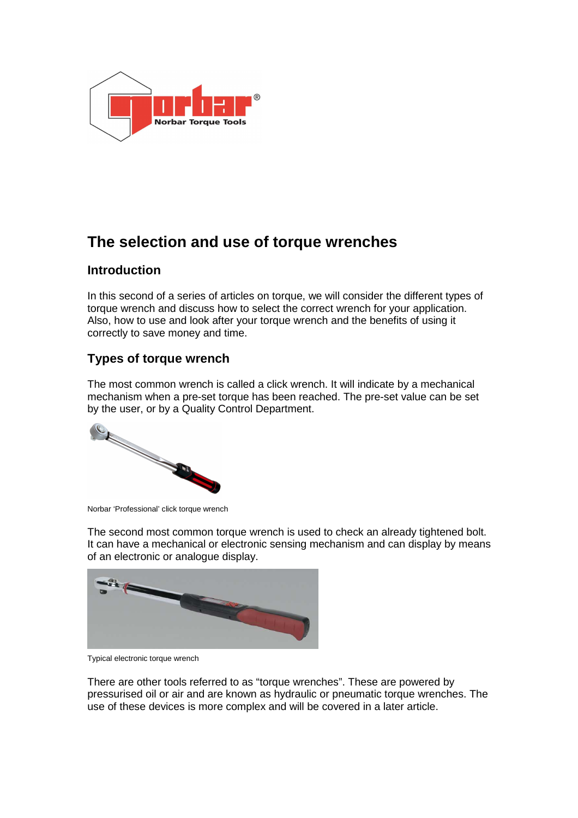

# **The selection and use of torque wrenches**

## **Introduction**

In this second of a series of articles on torque, we will consider the different types of torque wrench and discuss how to select the correct wrench for your application. Also, how to use and look after your torque wrench and the benefits of using it correctly to save money and time.

# **Types of torque wrench**

The most common wrench is called a click wrench. It will indicate by a mechanical mechanism when a pre-set torque has been reached. The pre-set value can be set by the user, or by a Quality Control Department.



Norbar 'Professional' click torque wrench

The second most common torque wrench is used to check an already tightened bolt. It can have a mechanical or electronic sensing mechanism and can display by means of an electronic or analogue display.



Typical electronic torque wrench

There are other tools referred to as "torque wrenches". These are powered by pressurised oil or air and are known as hydraulic or pneumatic torque wrenches. The use of these devices is more complex and will be covered in a later article.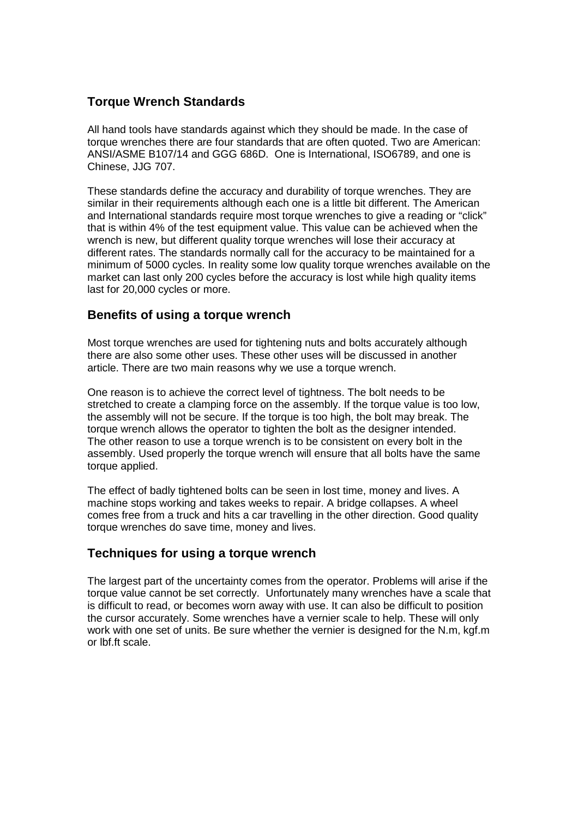### **Torque Wrench Standards**

All hand tools have standards against which they should be made. In the case of torque wrenches there are four standards that are often quoted. Two are American: ANSI/ASME B107/14 and GGG 686D. One is International, ISO6789, and one is Chinese, JJG 707.

These standards define the accuracy and durability of torque wrenches. They are similar in their requirements although each one is a little bit different. The American and International standards require most torque wrenches to give a reading or "click" that is within 4% of the test equipment value. This value can be achieved when the wrench is new, but different quality torque wrenches will lose their accuracy at different rates. The standards normally call for the accuracy to be maintained for a minimum of 5000 cycles. In reality some low quality torque wrenches available on the market can last only 200 cycles before the accuracy is lost while high quality items last for 20,000 cycles or more.

#### **Benefits of using a torque wrench**

Most torque wrenches are used for tightening nuts and bolts accurately although there are also some other uses. These other uses will be discussed in another article. There are two main reasons why we use a torque wrench.

One reason is to achieve the correct level of tightness. The bolt needs to be stretched to create a clamping force on the assembly. If the torque value is too low, the assembly will not be secure. If the torque is too high, the bolt may break. The torque wrench allows the operator to tighten the bolt as the designer intended. The other reason to use a torque wrench is to be consistent on every bolt in the assembly. Used properly the torque wrench will ensure that all bolts have the same torque applied.

The effect of badly tightened bolts can be seen in lost time, money and lives. A machine stops working and takes weeks to repair. A bridge collapses. A wheel comes free from a truck and hits a car travelling in the other direction. Good quality torque wrenches do save time, money and lives.

#### **Techniques for using a torque wrench**

The largest part of the uncertainty comes from the operator. Problems will arise if the torque value cannot be set correctly. Unfortunately many wrenches have a scale that is difficult to read, or becomes worn away with use. It can also be difficult to position the cursor accurately. Some wrenches have a vernier scale to help. These will only work with one set of units. Be sure whether the vernier is designed for the N.m, kgf.m or lbf.ft scale.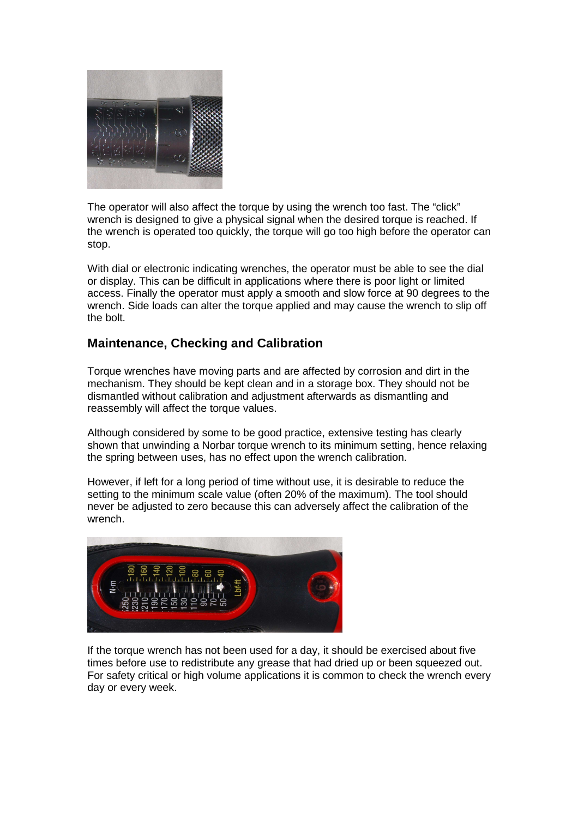

The operator will also affect the torque by using the wrench too fast. The "click" wrench is designed to give a physical signal when the desired torque is reached. If the wrench is operated too quickly, the torque will go too high before the operator can stop.

With dial or electronic indicating wrenches, the operator must be able to see the dial or display. This can be difficult in applications where there is poor light or limited access. Finally the operator must apply a smooth and slow force at 90 degrees to the wrench. Side loads can alter the torque applied and may cause the wrench to slip off the bolt.

#### **Maintenance, Checking and Calibration**

Torque wrenches have moving parts and are affected by corrosion and dirt in the mechanism. They should be kept clean and in a storage box. They should not be dismantled without calibration and adjustment afterwards as dismantling and reassembly will affect the torque values.

Although considered by some to be good practice, extensive testing has clearly shown that unwinding a Norbar torque wrench to its minimum setting, hence relaxing the spring between uses, has no effect upon the wrench calibration.

However, if left for a long period of time without use, it is desirable to reduce the setting to the minimum scale value (often 20% of the maximum). The tool should never be adjusted to zero because this can adversely affect the calibration of the wrench.



If the torque wrench has not been used for a day, it should be exercised about five times before use to redistribute any grease that had dried up or been squeezed out. For safety critical or high volume applications it is common to check the wrench every day or every week.